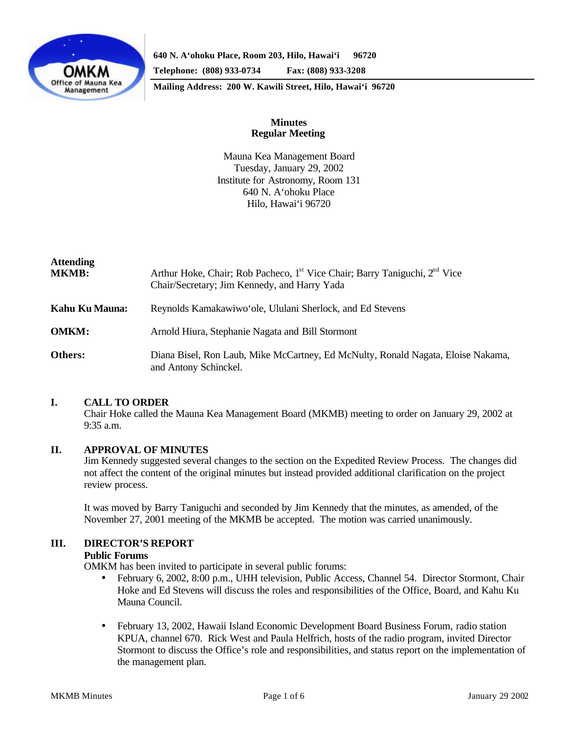

**640 N. A'ohoku Place, Room 203, Hilo, Hawai'i 96720**

**Telephone: (808) 933-0734 Fax: (808) 933-3208**

**Mailing Address: 200 W. Kawili Street, Hilo, Hawai'i 96720**

## **Minutes Regular Meeting**

Mauna Kea Management Board Tuesday, January 29, 2002 Institute for Astronomy, Room 131 640 N. A'ohoku Place Hilo, Hawai'i 96720

| <b>Attending</b><br>MKMB: | Arthur Hoke, Chair; Rob Pacheco, 1 <sup>st</sup> Vice Chair; Barry Taniguchi, 2 <sup>nd</sup> Vice<br>Chair/Secretary; Jim Kennedy, and Harry Yada |
|---------------------------|----------------------------------------------------------------------------------------------------------------------------------------------------|
| Kahu Ku Mauna:            | Reynolds Kamakawiwo ole, Ululani Sherlock, and Ed Stevens                                                                                          |
| <b>OMKM:</b>              | Arnold Hiura, Stephanie Nagata and Bill Stormont                                                                                                   |
| Others:                   | Diana Bisel, Ron Laub, Mike McCartney, Ed McNulty, Ronald Nagata, Eloise Nakama,<br>and Antony Schinckel.                                          |

## **I. CALL TO ORDER**

Chair Hoke called the Mauna Kea Management Board (MKMB) meeting to order on January 29, 2002 at 9:35 a.m.

## **II. APPROVAL OF MINUTES**

Jim Kennedy suggested several changes to the section on the Expedited Review Process. The changes did not affect the content of the original minutes but instead provided additional clarification on the project review process.

It was moved by Barry Taniguchi and seconded by Jim Kennedy that the minutes, as amended, of the November 27, 2001 meeting of the MKMB be accepted. The motion was carried unanimously.

# **III. DIRECTOR'S REPORT**

## **Public Forums**

OMKM has been invited to participate in several public forums:

- February 6, 2002, 8:00 p.m., UHH television, Public Access, Channel 54. Director Stormont, Chair Hoke and Ed Stevens will discuss the roles and responsibilities of the Office, Board, and Kahu Ku Mauna Council.
- February 13, 2002, Hawaii Island Economic Development Board Business Forum, radio station KPUA, channel 670. Rick West and Paula Helfrich, hosts of the radio program, invited Director Stormont to discuss the Office's role and responsibilities, and status report on the implementation of the management plan.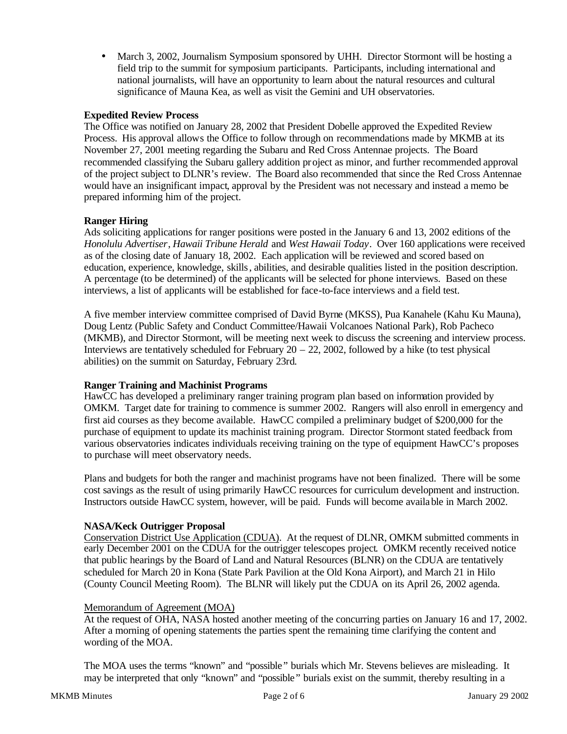• March 3, 2002, Journalism Symposium sponsored by UHH. Director Stormont will be hosting a field trip to the summit for symposium participants. Participants, including international and national journalists, will have an opportunity to learn about the natural resources and cultural significance of Mauna Kea, as well as visit the Gemini and UH observatories.

## **Expedited Review Process**

The Office was notified on January 28, 2002 that President Dobelle approved the Expedited Review Process. His approval allows the Office to follow through on recommendations made by MKMB at its November 27, 2001 meeting regarding the Subaru and Red Cross Antennae projects. The Board recommended classifying the Subaru gallery addition project as minor, and further recommended approval of the project subject to DLNR's review. The Board also recommended that since the Red Cross Antennae would have an insignificant impact, approval by the President was not necessary and instead a memo be prepared informing him of the project.

## **Ranger Hiring**

Ads soliciting applications for ranger positions were posted in the January 6 and 13, 2002 editions of the *Honolulu Advertiser*, *Hawaii Tribune Herald* and *West Hawaii Today*. Over 160 applications were received as of the closing date of January 18, 2002. Each application will be reviewed and scored based on education, experience, knowledge, skills, abilities, and desirable qualities listed in the position description. A percentage (to be determined) of the applicants will be selected for phone interviews. Based on these interviews, a list of applicants will be established for face-to-face interviews and a field test.

A five member interview committee comprised of David Byrne (MKSS), Pua Kanahele (Kahu Ku Mauna), Doug Lentz (Public Safety and Conduct Committee/Hawaii Volcanoes National Park), Rob Pacheco (MKMB), and Director Stormont, will be meeting next week to discuss the screening and interview process. Interviews are tentatively scheduled for February  $20 - 22$ , 2002, followed by a hike (to test physical abilities) on the summit on Saturday, February 23rd.

## **Ranger Training and Machinist Programs**

HawCC has developed a preliminary ranger training program plan based on information provided by OMKM. Target date for training to commence is summer 2002. Rangers will also enroll in emergency and first aid courses as they become available. HawCC compiled a preliminary budget of \$200,000 for the purchase of equipment to update its machinist training program. Director Stormont stated feedback from various observatories indicates individuals receiving training on the type of equipment HawCC's proposes to purchase will meet observatory needs.

Plans and budgets for both the ranger and machinist programs have not been finalized. There will be some cost savings as the result of using primarily HawCC resources for curriculum development and instruction. Instructors outside HawCC system, however, will be paid. Funds will become available in March 2002.

## **NASA/Keck Outrigger Proposal**

Conservation District Use Application (CDUA). At the request of DLNR, OMKM submitted comments in early December 2001 on the CDUA for the outrigger telescopes project. OMKM recently received notice that public hearings by the Board of Land and Natural Resources (BLNR) on the CDUA are tentatively scheduled for March 20 in Kona (State Park Pavilion at the Old Kona Airport), and March 21 in Hilo (County Council Meeting Room). The BLNR will likely put the CDUA on its April 26, 2002 agenda.

# Memorandum of Agreement (MOA)

At the request of OHA, NASA hosted another meeting of the concurring parties on January 16 and 17, 2002. After a morning of opening statements the parties spent the remaining time clarifying the content and wording of the MOA.

The MOA uses the terms "known" and "possible" burials which Mr. Stevens believes are misleading. It may be interpreted that only "known" and "possible" burials exist on the summit, thereby resulting in a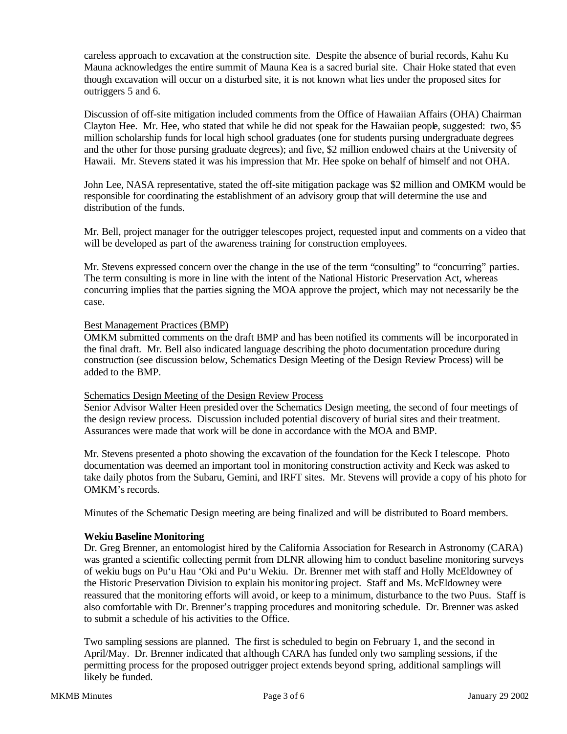careless approach to excavation at the construction site. Despite the absence of burial records, Kahu Ku Mauna acknowledges the entire summit of Mauna Kea is a sacred burial site. Chair Hoke stated that even though excavation will occur on a disturbed site, it is not known what lies under the proposed sites for outriggers 5 and 6.

Discussion of off-site mitigation included comments from the Office of Hawaiian Affairs (OHA) Chairman Clayton Hee. Mr. Hee, who stated that while he did not speak for the Hawaiian people, suggested: two, \$5 million scholarship funds for local high school graduates (one for students pursing undergraduate degrees and the other for those pursing graduate degrees); and five, \$2 million endowed chairs at the University of Hawaii. Mr. Stevens stated it was his impression that Mr. Hee spoke on behalf of himself and not OHA.

John Lee, NASA representative, stated the off-site mitigation package was \$2 million and OMKM would be responsible for coordinating the establishment of an advisory group that will determine the use and distribution of the funds.

Mr. Bell, project manager for the outrigger telescopes project, requested input and comments on a video that will be developed as part of the awareness training for construction employees.

Mr. Stevens expressed concern over the change in the use of the term "consulting" to "concurring" parties. The term consulting is more in line with the intent of the National Historic Preservation Act, whereas concurring implies that the parties signing the MOA approve the project, which may not necessarily be the case.

## Best Management Practices (BMP)

OMKM submitted comments on the draft BMP and has been notified its comments will be incorporated in the final draft. Mr. Bell also indicated language describing the photo documentation procedure during construction (see discussion below, Schematics Design Meeting of the Design Review Process) will be added to the BMP.

#### Schematics Design Meeting of the Design Review Process

Senior Advisor Walter Heen presided over the Schematics Design meeting, the second of four meetings of the design review process. Discussion included potential discovery of burial sites and their treatment. Assurances were made that work will be done in accordance with the MOA and BMP.

Mr. Stevens presented a photo showing the excavation of the foundation for the Keck I telescope. Photo documentation was deemed an important tool in monitoring construction activity and Keck was asked to take daily photos from the Subaru, Gemini, and IRFT sites. Mr. Stevens will provide a copy of his photo for OMKM's records.

Minutes of the Schematic Design meeting are being finalized and will be distributed to Board members.

#### **Wekiu Baseline Monitoring**

Dr. Greg Brenner, an entomologist hired by the California Association for Research in Astronomy (CARA) was granted a scientific collecting permit from DLNR allowing him to conduct baseline monitoring surveys of wekiu bugs on Pu'u Hau 'Oki and Pu'u Wekiu. Dr. Brenner met with staff and Holly McEldowney of the Historic Preservation Division to explain his monitoring project. Staff and Ms. McEldowney were reassured that the monitoring efforts will avoid, or keep to a minimum, disturbance to the two Puus. Staff is also comfortable with Dr. Brenner's trapping procedures and monitoring schedule. Dr. Brenner was asked to submit a schedule of his activities to the Office.

Two sampling sessions are planned. The first is scheduled to begin on February 1, and the second in April/May. Dr. Brenner indicated that although CARA has funded only two sampling sessions, if the permitting process for the proposed outrigger project extends beyond spring, additional samplings will likely be funded.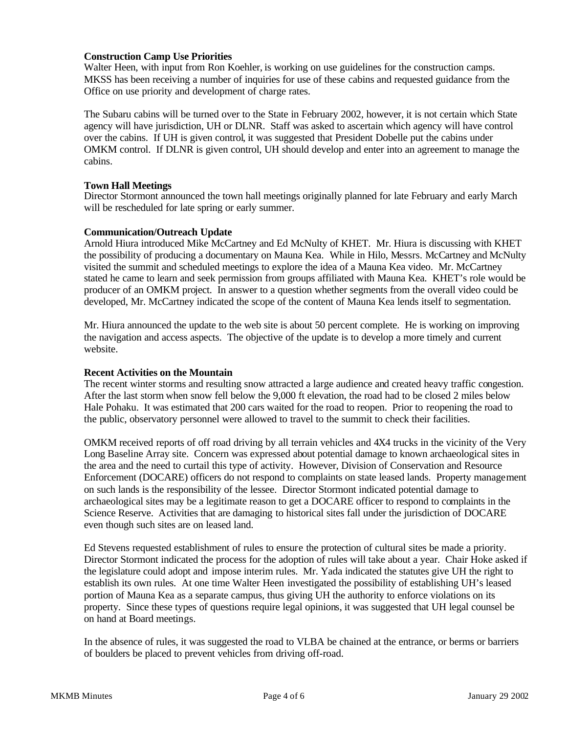### **Construction Camp Use Priorities**

Walter Heen, with input from Ron Koehler, is working on use guidelines for the construction camps. MKSS has been receiving a number of inquiries for use of these cabins and requested guidance from the Office on use priority and development of charge rates.

The Subaru cabins will be turned over to the State in February 2002, however, it is not certain which State agency will have jurisdiction, UH or DLNR. Staff was asked to ascertain which agency will have control over the cabins. If UH is given control, it was suggested that President Dobelle put the cabins under OMKM control. If DLNR is given control, UH should develop and enter into an agreement to manage the cabins.

### **Town Hall Meetings**

Director Stormont announced the town hall meetings originally planned for late February and early March will be rescheduled for late spring or early summer.

### **Communication/Outreach Update**

Arnold Hiura introduced Mike McCartney and Ed McNulty of KHET. Mr. Hiura is discussing with KHET the possibility of producing a documentary on Mauna Kea. While in Hilo, Messrs. McCartney and McNulty visited the summit and scheduled meetings to explore the idea of a Mauna Kea video. Mr. McCartney stated he came to learn and seek permission from groups affiliated with Mauna Kea. KHET's role would be producer of an OMKM project. In answer to a question whether segments from the overall video could be developed, Mr. McCartney indicated the scope of the content of Mauna Kea lends itself to segmentation.

Mr. Hiura announced the update to the web site is about 50 percent complete. He is working on improving the navigation and access aspects. The objective of the update is to develop a more timely and current website.

#### **Recent Activities on the Mountain**

The recent winter storms and resulting snow attracted a large audience and created heavy traffic congestion. After the last storm when snow fell below the 9,000 ft elevation, the road had to be closed 2 miles below Hale Pohaku. It was estimated that 200 cars waited for the road to reopen. Prior to reopening the road to the public, observatory personnel were allowed to travel to the summit to check their facilities.

OMKM received reports of off road driving by all terrain vehicles and 4X4 trucks in the vicinity of the Very Long Baseline Array site. Concern was expressed about potential damage to known archaeological sites in the area and the need to curtail this type of activity. However, Division of Conservation and Resource Enforcement (DOCARE) officers do not respond to complaints on state leased lands. Property management on such lands is the responsibility of the lessee. Director Stormont indicated potential damage to archaeological sites may be a legitimate reason to get a DOCARE officer to respond to complaints in the Science Reserve. Activities that are damaging to historical sites fall under the jurisdiction of DOCARE even though such sites are on leased land.

Ed Stevens requested establishment of rules to ensure the protection of cultural sites be made a priority. Director Stormont indicated the process for the adoption of rules will take about a year. Chair Hoke asked if the legislature could adopt and impose interim rules. Mr. Yada indicated the statutes give UH the right to establish its own rules. At one time Walter Heen investigated the possibility of establishing UH's leased portion of Mauna Kea as a separate campus, thus giving UH the authority to enforce violations on its property. Since these types of questions require legal opinions, it was suggested that UH legal counsel be on hand at Board meetings.

In the absence of rules, it was suggested the road to VLBA be chained at the entrance, or berms or barriers of boulders be placed to prevent vehicles from driving off-road.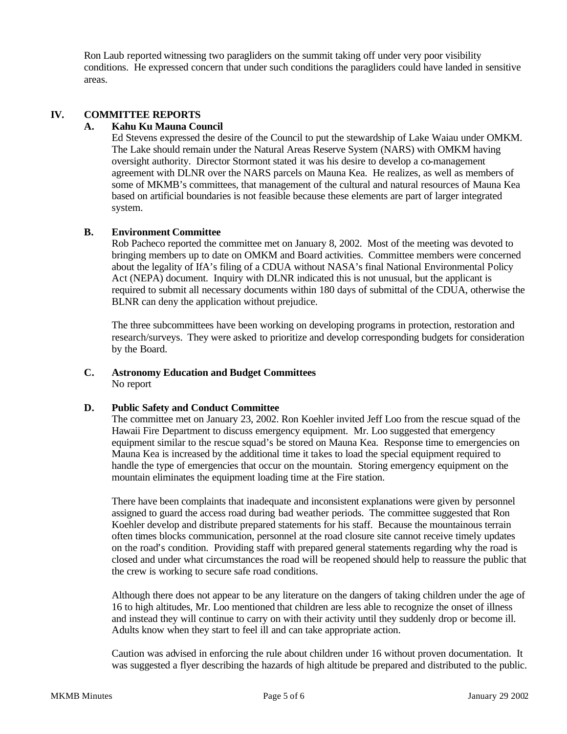Ron Laub reported witnessing two paragliders on the summit taking off under very poor visibility conditions. He expressed concern that under such conditions the paragliders could have landed in sensitive areas.

## **IV. COMMITTEE REPORTS**

## **A. Kahu Ku Mauna Council**

Ed Stevens expressed the desire of the Council to put the stewardship of Lake Waiau under OMKM. The Lake should remain under the Natural Areas Reserve System (NARS) with OMKM having oversight authority. Director Stormont stated it was his desire to develop a co-management agreement with DLNR over the NARS parcels on Mauna Kea. He realizes, as well as members of some of MKMB's committees, that management of the cultural and natural resources of Mauna Kea based on artificial boundaries is not feasible because these elements are part of larger integrated system.

### **B. Environment Committee**

Rob Pacheco reported the committee met on January 8, 2002. Most of the meeting was devoted to bringing members up to date on OMKM and Board activities. Committee members were concerned about the legality of IfA's filing of a CDUA without NASA's final National Environmental Policy Act (NEPA) document. Inquiry with DLNR indicated this is not unusual, but the applicant is required to submit all necessary documents within 180 days of submittal of the CDUA, otherwise the BLNR can deny the application without prejudice.

The three subcommittees have been working on developing programs in protection, restoration and research/surveys. They were asked to prioritize and develop corresponding budgets for consideration by the Board.

### **C. Astronomy Education and Budget Committees** No report

## **D. Public Safety and Conduct Committee**

The committee met on January 23, 2002. Ron Koehler invited Jeff Loo from the rescue squad of the Hawaii Fire Department to discuss emergency equipment. Mr. Loo suggested that emergency equipment similar to the rescue squad's be stored on Mauna Kea. Response time to emergencies on Mauna Kea is increased by the additional time it takes to load the special equipment required to handle the type of emergencies that occur on the mountain. Storing emergency equipment on the mountain eliminates the equipment loading time at the Fire station.

There have been complaints that inadequate and inconsistent explanations were given by personnel assigned to guard the access road during bad weather periods. The committee suggested that Ron Koehler develop and distribute prepared statements for his staff. Because the mountainous terrain often times blocks communication, personnel at the road closure site cannot receive timely updates on the road's condition. Providing staff with prepared general statements regarding why the road is closed and under what circumstances the road will be reopened should help to reassure the public that the crew is working to secure safe road conditions.

Although there does not appear to be any literature on the dangers of taking children under the age of 16 to high altitudes, Mr. Loo mentioned that children are less able to recognize the onset of illness and instead they will continue to carry on with their activity until they suddenly drop or become ill. Adults know when they start to feel ill and can take appropriate action.

Caution was advised in enforcing the rule about children under 16 without proven documentation. It was suggested a flyer describing the hazards of high altitude be prepared and distributed to the public.